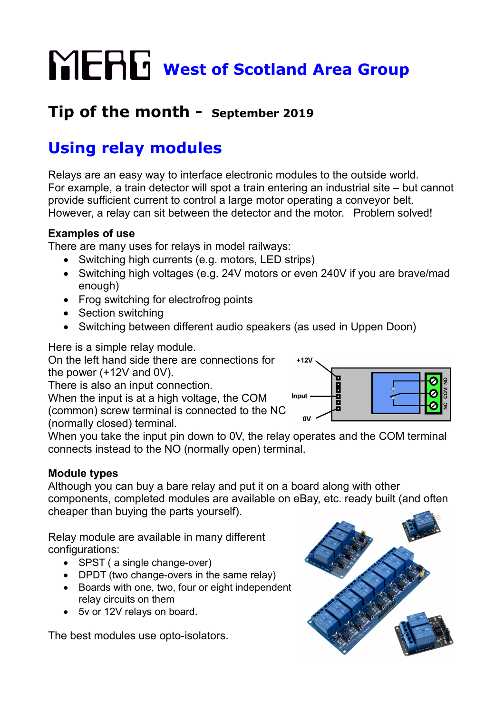# **WERG** West of Scotland Area Group

# **Tip of the month - September 2019**

# **Using relay modules**

Relays are an easy way to interface electronic modules to the outside world. For example, a train detector will spot a train entering an industrial site – but cannot provide sufficient current to control a large motor operating a conveyor belt. However, a relay can sit between the detector and the motor. Problem solved!

## **Examples of use**

There are many uses for relays in model railways:

- Switching high currents (e.g. motors, LED strips)
- Switching high voltages (e.g. 24V motors or even 240V if you are brave/mad enough)
- Frog switching for electrofrog points
- Section switching
- Switching between different audio speakers (as used in Uppen Doon)

Here is a simple relay module.

On the left hand side there are connections for the power (+12V and 0V).

There is also an input connection.

When the input is at a high voltage, the COM (common) screw terminal is connected to the NC (normally closed) terminal.



When you take the input pin down to 0V, the relay operates and the COM terminal connects instead to the NO (normally open) terminal.

# **Module types**

Although you can buy a bare relay and put it on a board along with other components, completed modules are available on eBay, etc. ready built (and often cheaper than buying the parts yourself).

Relay module are available in many different configurations:

- SPST ( a single change-over)
- DPDT (two change-overs in the same relay)
- Boards with one, two, four or eight independent relay circuits on them
- 5v or 12V relays on board.

The best modules use opto-isolators.

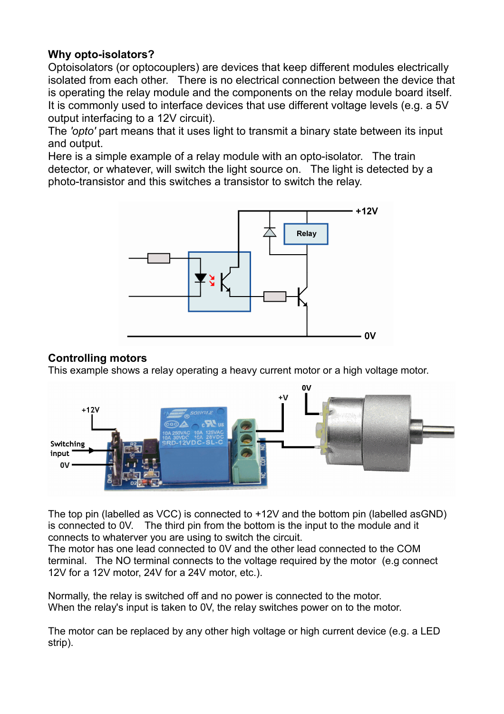#### **Why opto-isolators?**

Optoisolators (or optocouplers) are devices that keep different modules electrically isolated from each other. There is no electrical connection between the device that is operating the relay module and the components on the relay module board itself. It is commonly used to interface devices that use different voltage levels (e.g. a 5V output interfacing to a 12V circuit).

The *'opto'* part means that it uses light to transmit a binary state between its input and output.

Here is a simple example of a relay module with an opto-isolator. The train detector, or whatever, will switch the light source on. The light is detected by a photo-transistor and this switches a transistor to switch the relay.



#### **Controlling motors**

This example shows a relay operating a heavy current motor or a high voltage motor.



The top pin (labelled as VCC) is connected to +12V and the bottom pin (labelled asGND) is connected to 0V. The third pin from the bottom is the input to the module and it connects to whaterver you are using to switch the circuit.

The motor has one lead connected to 0V and the other lead connected to the COM terminal. The NO terminal connects to the voltage required by the motor (e.g connect 12V for a 12V motor, 24V for a 24V motor, etc.).

Normally, the relay is switched off and no power is connected to the motor. When the relay's input is taken to 0V, the relay switches power on to the motor.

The motor can be replaced by any other high voltage or high current device (e.g. a LED strip).